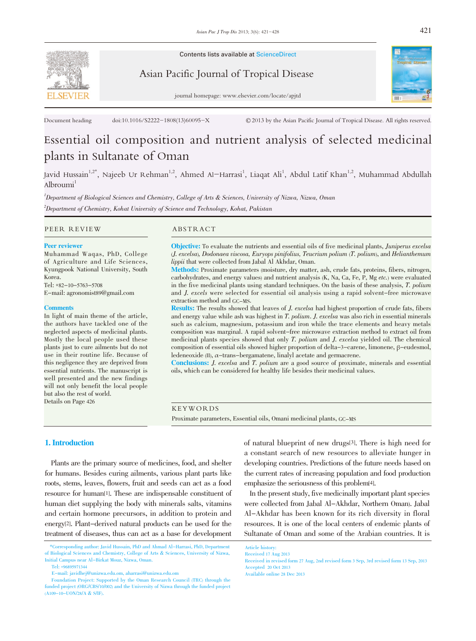

Contents lists available at ScienceDirect

Asian Pacific Journal of Tropical Disease



journal homepage: www.elsevier.com/locate/apjtd

Document heading doi:10.1016/S2222-1808(13)60095-X © 2013 by the Asian Pacific Journal of Tropical Disease. All rights reserved.

# Essential oil composition and nutrient analysis of selected medicinal plants in Sultanate of Oman

Javid Hussain<sup>1,2\*</sup>, Najeeb Ur Rehman<sup>1,2</sup>, Ahmed Al–Harrasi<sup>1</sup>, Liaqat Ali<sup>1</sup>, Abdul Latif Khan<sup>1,2</sup>, Muhammad Abdullah Albroumi<sup>1</sup>

1 Department of Biological Sciences and Chemistry, College of Arts & Sciences, University of Nizwa, Nizwa, Oman  $^2$ Department of Chemistry, Kohat University of Science and Technology, Kohat, Pakistan

#### PEER REVIEW ABSTRACT

#### Peer reviewer

Muhammad Waqas, PhD, College of Agriculture and Life Sciences, Kyungpook National University, South Korea.

Tel: +82-10-5763-5708 E-mail: agronomist89@gmail.com

#### **Comments**

In light of main theme of the article, the authors have tackled one of the neglected aspects of medicinal plants. Mostly the local people used these plants just to cure ailments but do not use in their routine life. Because of this negligence they are deprived from essential nutrients. The manuscript is well presented and the new findings will not only benefit the local people but also the rest of world. Details on Page 426

Objective: To evaluate the nutrients and essential oils of five medicinal plants, *Juniperus excelsa* (J. excelsa), Dodonaea viscosa, Euryops pinifolius, Teucrium polium (T. polium), and Helianthemum lippii that were collected from Jabal Al Akhdar, Oman.

Methods: Proximate parameters (moisture, dry matter, ash, crude fats, proteins, fibers, nitrogen, carbohydrates, and energy values) and nutrient analysis (K, Na, Ca, Fe, P, Mg etc.) were evaluated in the five medicinal plants using standard techniques. On the basis of these analysis, T. polium and J. excels were selected for essential oil analysis using a rapid solvent-free microwave extraction method and GC-MS.

Results: The results showed that leaves of J. excelsa had highest proportion of crude fats, fibers and energy value while ash was highest in T. polium. J. excelsa was also rich in essential minerals such as calcium, magnesium, potassium and iron while the trace elements and heavy metals composition was marginal. A rapid solvent-free microwave extraction method to extract oil from medicinal plants species showed that only T. polium and J. excelsa yielded oil. The chemical composition of essential oils showed higher proportion of delta-3-carene, limonene, β-eudesmol, ledeneoxide  $(II)$ ,  $\alpha$ -trans-bergamatene, linalyl acetate and germacrene.

Conclusions: J. excelsa and T. polium are a good source of proximate, minerals and essential oils, which can be considered for healthy life besides their medicinal values.

#### KEYWORDS

Proximate parameters, Essential oils, Omani medicinal plants, GC-MS

# 1. Introduction

Plants are the primary source of medicines, food, and shelter for humans. Besides curing ailments, various plant parts like roots, stems, leaves, flowers, fruit and seeds can act as a food resource for human[1]. These are indispensable constituent of human diet supplying the body with minerals salts, vitamins and certain hormone precursors, in addition to protein and energy[2]. Plant-derived natural products can be used for the treatment of diseases, thus can act as a base for development

of natural blueprint of new drugs[3]. There is high need for a constant search of new resources to alleviate hunger in developing countries. Predictions of the future needs based on the current rates of increasing population and food production emphasize the seriousness of this problem[4].

In the present study, five medicinally important plant species were collected from Jabal Al-Akhdar, Northern Oman). Jabal Al-Akhdar has been known for its rich diversity in floral resources. It is one of the local centers of endemic plants of Sultanate of Oman and some of the Arabian countries. It is

Available online 28 Dec 2013

<sup>\*</sup>Corresponding author: Javid Hussain, PhD and Ahmad Al-Harrasi, PhD, Department of Biological Sciences and Chemistry, College of Arts & Sciences, University of Nizwa, Initial Campus near Al-Birkat Mouz, Nizwa, Oman.

Tel: +96895971344

E-mail: javidhej@unizwa.edu.om, aharrasi@unizwa.edu.om

Foundation Project: Supported by the Oman Research Council (TRC) through the funded project (ORG/CBS/10/002) and the University of Nizwa through the funded project (A109-10-UON/28/A & S/IF).

Article history: Received 17 Aug 2013

Received in revised form 27 Aug, 2nd revised form 3 Sep, 3rd revised form 13 Sep, 2013 Accepted 20 Oct 2013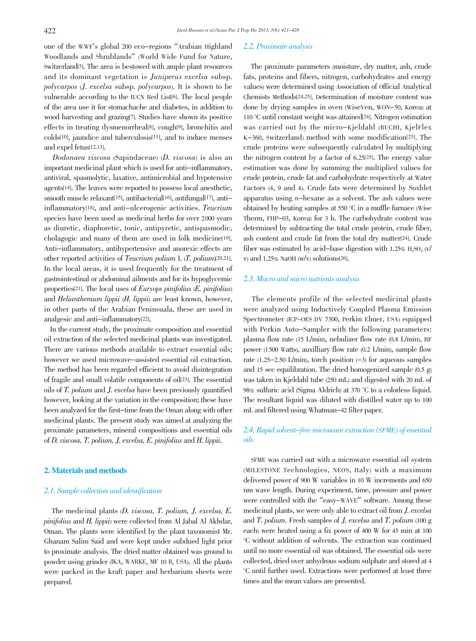one of the WWF's global <sup>200</sup> eco-regions "Arabian Highland Woodlands and Shrublands" (World Wide Fund for Nature, Switzerland[5]. The area is bestowed with ample plant resources and its dominant vegetation is Juniperus excelsa subsp. polycarpos (J. excelsa subsp. polycarpos). It is shown to be vulnerable according to the IUCN Red List[6]. The local people of the area use it for stomachache and diabetes, in addition to wood harvesting and grazing[7]. Studies have shown its positive effects in treating dysmenorrheal[8], cough[9], bronchitis and colds[10], jaundice and tuberculosis[11], and to induce menses and expel fetus[12,13].

Dodonaea viscosa (Sapindaceae) (D. viscosa) is also an important medicinal plant which is used for anti-inflammatory, antiviral, spasmolytic, laxative, antimicrobial and hypotensive agents[14]. The leaves were reported to possess local anesthetic, smooth muscle relaxant<sup>[15]</sup>, antibacterial<sup>[16]</sup>, antifungal<sup>[17]</sup>, antiinflammatory[18], and anti-ulcerogenic activities. Teucrium species have been used as medicinal herbs for over 2000 years as diuretic, diaphoretic, tonic, antipyretic, antispasmodic, cholagogic and many of them are used in folk medicine[19]. Anti-inflammatory, antihypertensive and anorexic effects are other reported activities of Teucrium polium L (T. polium)[20,21]. In the local areas, it is used frequently for the treatment of gastrointestinal or abdominal ailments and for its hypoglycemic properties[21]. The local uses of Euryops pinifolius (E. pinifolius) and Helianthemum lippii (H. lippii) are least known, however, in other parts of the Arabian Peninsuala, these are used in analgesic and anti-inflammatory[22].

In the current study, the proximate composition and essential oil extraction of the selected medicinal plants was investigated. There are various methods available to extract essential oils; however we used microwave-assisted essential oil extraction. The method has been regarded efficient to avoid disintegration of fragile and small volatile components of oil[23]. The essential oils of T. polium and J. excelsa have been previously quantified however, looking at the variation in the composition; these have been analyzed for the first-time from the Oman along with other medicinal plants. The present study was aimed at analyzing the proximate parameters, mineral compositions and essential oils of D. viscosa, T. polium, J. excelsa, E. pinifolius and H. lippii.

#### 2. Materials and methods

## 2.1. Sample collection and identification

The medicinal plants (D. viscosa, T. polium, J. excelsa, E. pinifolius and H. lippii) were collected from Al Jabal Al Akhdar, Oman. The plants were identified by the plant taxonomist Mr. Ghanam Salim Said and were kept under subdued light prior to proximate analysis. The dried matter obtained was ground to powder using grinder (IKA, WARKE, MF 10 B, USA). All the plants were packed in the kraft paper and herbarium sheets were prepared.

#### 2.2. Proximate analysis

The proximate parameters (moisture, dry matter, ash, crude fats, proteins and fibers, nitrogen, carbohydrates and energy values) were determined using Association of Official Analytical Chemists Methods[24,25]. Determination of moisture content was done by drying samples in oven (WiseVen, WON-50, Korea) at 110 °C until constant weight was attained[24]. Nitrogen estimation was carried out by the micro-Kjeldahl (BUCHI, KjelFlex K-360, Switzerland) method with some modification[25]. The crude proteins were subsequently calculated by multiplying the nitrogen content by a factor of 6.25[25]. The energy value estimation was done by summing the multiplied values for crude protein, crude fat and carbohydrate respectively at Water Factors (4, 9 and 4). Crude fats were determined by Soxhlet apparatus using  $n$ -hexane as a solvent. The ash values were obtained by heating samples at 550 °C in a muffle furnace (Wise Therm, FHP-03, Korea) for 3 h. The carbohydrate content was determined by subtracting the total crude protein, crude fiber, ash content and crude fat from the total dry matter[24]. Crude fiber was estimated by acid-base digestion with  $1.25\%$  H<sub>2</sub>SO<sub>4</sub> (v/ v) and  $1.25\%$  NaOH (w/v) solutions[26].

#### 2.3. Macro and micro nutrients analysis

The elements profile of the selected medicinal plants were analyzed using Inductively Coupled Plasma Emission Spectrometer (ICP-OES DV 7300, Perkin Elmer, USA) equipped with Perkin Auto-Sampler with the following parameters: plasma flow rate (15 L/min), nebulizer flow rate (0.8 L/min), RF power (1500 Watts), auxilliary flow rate (0.2 L/min), sample flow rate (1.25-2.50 L/min), torch position  $(-3)$  for aqueous samples and 15 sec equilibration. The dried homogenized sample (0.5 g) was taken in Kjeldahl tube (250 mL) and digested with 20 mL of 98% sulfuric acid (Sigma Aldrich) at 370 °C to a colorless liquid. The resultant liquid was diluted with distilled water up to 100 mL and filtered using Whatman-42 filter paper.

# 2.4. Rapid solvent-free microwave extraction (SFME) of essential oils

SFME was carried out with a microwave essential oil system (MILESTONE Technologies, NEOS, Italy) with a maximum delivered power of 900 W variables in 10 W increments and 650 nm wave length. During experiment, time, pressure and power were controlled with the "easy-WAVE" software. Among these medicinal plants, we were only able to extract oil from J. excelsa and T. polium. Fresh samples of J. excelsa and T. polium (100 g each) were heated using a fix power of 400 W for 45 min at 100 °C without addition of solvents. The extraction was continued until no more essential oil was obtained. The essential oils were collected, dried over anhydrous sodium sulphate and stored at 4 °C until further used. Extractions were performed at least three times and the mean values are presented.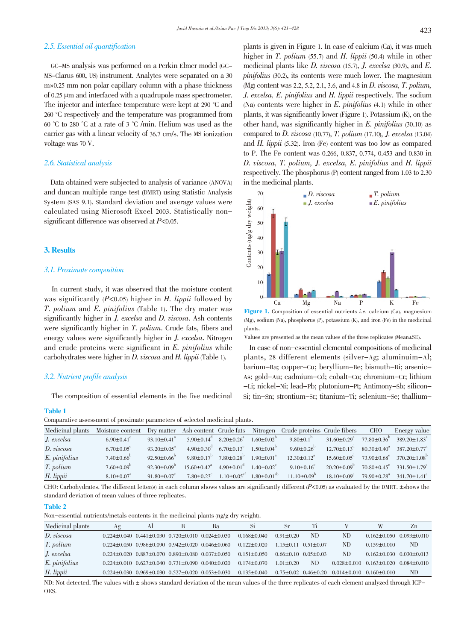### 2.5. Essential oil quantification

GC-MS analysis was performed on a Perkin Elmer model (GC-MS-Clarus 600, US) instrument. Analytes were separated on a 30 m×0.25 mm non polar capillary column with a phase thickness of 0.25  $\mu$ m and interfaced with a quadrupole mass spectrometer. The injector and interface temperature were kept at 290 °C and 260 °C respectively and the temperature was programmed from 60 °C to 280 °C at a rate of 3 °C /min. Helium was used as the carrier gas with a linear velocity of 36.7 cm/s. The MS ionization voltage was 70 V.

#### 2.6. Statistical analysis

Data obtained were subjected to analysis of variance (ANOVA) and duncan multiple range test (DMRT) using Statistic Analysis System (SAS 9.1). Standard deviation and average values were calculated using Microsoft Excel 2003. Statistically nonsignificant difference was observed at  $P<0.05$ .

# 3. Results

#### 3.1. Proximate composition

In current study, it was observed that the moisture content was significantly  $(P<0.05)$  higher in H. lippii followed by T. polium and E. pinifolius (Table 1). The dry mater was significantly higher in *J. excelsa* and *D. viscosa*. Ash contents were significantly higher in T. polium. Crude fats, fibers and energy values were significantly higher in J. excelsa. Nitrogen and crude proteins were significant in E. pinifolius while carbohydrates were higher in D. viscosa and H. lippii (Table 1).

## 3.2. Nutrient profile analysis

The composition of essential elements in the five medicinal

#### Table 1

Comparative assessment of proximate parameters of selected medicinal plants.

| Medicinal plants | Moisture content             |                                      |                                                                          |                                                     |                              | Dry matter Ash content Crude fats Nitrogen Crude proteins Crude fibers |                                                   | CHO                           | Energy value                                                                |
|------------------|------------------------------|--------------------------------------|--------------------------------------------------------------------------|-----------------------------------------------------|------------------------------|------------------------------------------------------------------------|---------------------------------------------------|-------------------------------|-----------------------------------------------------------------------------|
| J. excelsa       | $6.90 \pm 0.41$              | 93.10 $\pm$ 0.41 <sup>a</sup>        | $5.90 \pm 0.14$ <sup>d</sup> $8.20 \pm 0.26$ <sup>a</sup>                |                                                     | $1.60 \pm 0.02^{\circ}$      | 9.80 $\pm$ 0.1 <sup>b</sup>                                            | $31.60 \pm 0.29$ <sup>a</sup>                     | $77.80 \pm 0.36^{\circ}$      | $389.20 \pm 1.83$ <sup>a</sup>                                              |
| D. viscosa       | $6.70 \pm 0.05$ <sup>c</sup> | $93.20 \pm 0.05^{\circ}$             | $4.90\pm0.30^{\circ}$ 6.70 $\pm0.13^{\circ}$                             |                                                     | $1.50 \pm 0.04^b$            | 9.60 $\pm$ 0.26 <sup>b</sup>                                           | $12.70 \pm 0.13^{\circ}$ $80.30 \pm 0.40^{\circ}$ |                               | $387.20 \pm 0.77$ <sup>a</sup>                                              |
| E. pinifolius    | $7.40 \pm 0.66^{\circ}$      | $92.50 \pm 0.66^{\circ}$             | $9.80 \pm 0.17^{\rm b}$                                                  | $7.80 \pm 0.28$ <sup>b</sup>                        | $1.90 \pm 0.01$ <sup>a</sup> | $12.30 \pm 0.12^a$                                                     |                                                   |                               | $15.60 \pm 0.05^{\circ}$ $73.90 \pm 0.68^{\circ}$ $370.20 \pm 1.08^{\circ}$ |
| T. polium        | $7.60 \pm 0.09^{\rm b}$      | 92.30 $\pm$ 0.09 <sup>p</sup>        | $15.60 \pm 0.42^{\circ}$ $4.90 \pm 0.01^{\circ}$ $1.40 \pm 0.02^{\circ}$ |                                                     |                              | $9.10\pm0.16^{\circ}$                                                  | $20.20 \pm 0.09^{\circ}$                          | $70.80 \pm 0.45$ <sup>c</sup> | $331.50 \pm 1.79$ <sup>c</sup>                                              |
| H. lippii        | $8.10 \pm 0.07$ <sup>a</sup> | 91.80 $\pm$ 0.07 $\mathrm{^{\circ}}$ | $7.80 \pm 0.23$ <sup>c</sup>                                             | $1.10\pm0.05^{\text{ef}}$ $1.80\pm0.01^{\text{ab}}$ |                              | $11.10 \pm 0.09^{\circ}$                                               | $18.10 \pm 0.09^{\circ}$                          |                               | $79.90 \pm 0.28$ <sup>a</sup> $341.70 \pm 1.41$ <sup>c</sup>                |

CHO: Carbohydrates. The different letter(s) in each column shows values are significantly different  $(P<0.05)$  as evaluated by the DMRT.  $\pm$ shows the standard deviation of mean values of three replicates.

Table 2

Non-essential nutrients/metals contents in the medicinal plants (ng/g dry weight).

| Аg | Al | Bа | Si                                                                                                                                                                                                                                                                                                                                                                                  | Sr              | Тi  |                                                                                                   | W                 | Zn                                                                         |
|----|----|----|-------------------------------------------------------------------------------------------------------------------------------------------------------------------------------------------------------------------------------------------------------------------------------------------------------------------------------------------------------------------------------------|-----------------|-----|---------------------------------------------------------------------------------------------------|-------------------|----------------------------------------------------------------------------|
|    |    |    | $0.168 \pm 0.040$                                                                                                                                                                                                                                                                                                                                                                   | $0.91 \pm 0.20$ | ND. | <b>ND</b>                                                                                         | $0.162 \pm 0.050$ | $0.093 \pm 0.010$                                                          |
|    |    |    | $0.122 + 0.020$                                                                                                                                                                                                                                                                                                                                                                     |                 |     | ND.                                                                                               | $0.159 \pm 0.010$ | ND                                                                         |
|    |    |    | $0.151 + 0.050$                                                                                                                                                                                                                                                                                                                                                                     |                 |     | ND.                                                                                               | $0.162 \pm 0.030$ | $0.030 \pm 0.013$                                                          |
|    |    |    | $0.174 + 0.070$                                                                                                                                                                                                                                                                                                                                                                     | $1.01 + 0.20$   | ND. |                                                                                                   |                   | $0.084 + 0.010$                                                            |
|    |    |    | $0.135 \pm 0.040$                                                                                                                                                                                                                                                                                                                                                                   |                 |     |                                                                                                   |                   | ND.                                                                        |
|    |    |    | $0.224 \pm 0.040$ $0.441 \pm 0.030$ $0.720 \pm 0.010$ $0.024 \pm 0.030$<br>$0.224 \pm 0.050$ $0.986 \pm 0.090$ $0.942 \pm 0.020$ $0.046 \pm 0.060$<br>$0.224 \pm 0.020$ $0.887 \pm 0.070$ $0.890 \pm 0.080$ $0.037 \pm 0.050$<br>$0.224 \pm 0.010$ $0.627 \pm 0.040$ $0.731 \pm 0.090$ $0.040 \pm 0.020$<br>$0.224 \pm 0.030$ $0.969 \pm 0.030$ $0.527 \pm 0.020$ $0.053 \pm 0.030$ |                 |     | $1.15 + 0.11$ $0.51 + 0.07$<br>$0.66 \pm 0.10$ $0.05 \pm 0.03$<br>$0.75 \pm 0.02$ $0.46 \pm 0.20$ |                   | $0.028 \pm 0.010$ $0.163 \pm 0.020$<br>$0.014 \pm 0.010$ $0.160 \pm 0.010$ |

ND: Not detected. The values with  $\pm$  shows standard deviation of the mean values of the three replicates of each element analyzed through ICP-OES.

plants is given in Figure 1. In case of calcium (Ca), it was much higher in T. polium (55.7) and H. lippii (50.4) while in other medicinal plants like  $D.$  viscosa (15.7),  $J.$  excelsa (30.9), and  $E.$ pinifolius (30.2), its contents were much lower. The magnesium (Mg) content was 2.2, 5.2, 2.1, 3.6, and 4.8 in D. viscosa, T. polium, J. excelsa, E. pinifolius and H. lippii respectively. The sodium (Na) contents were higher in  $E$ , *pinifolius* (4.1) while in other plants, it was significantly lower (Figure 1). Potassium (K), on the other hand, was significantly higher in E. pinifolius (30.10) as compared to  $D.$  viscosa (10.77),  $T.$  polium (17.10),  $J.$  excelsa (13.04) and H. lippii (5.32). Iron (Fe) content was too low as compared to P. The Fe content was 0.266, 0.837, 0.774, 0.453 and 0.830 in D. viscosa, T. polium, J. excelsa, E. pinifolius and H. lippii respectively. The phosphorus(P) content ranged from 1.03 to 2.30 in the medicinal plants.



(Mg), sodium (Na), phosphorus (P), potassium (K), and iron (Fe) in the medicinal plants.

Values are presented as the mean values of the three replicates (Mean±SE).

In case of non-essential elemental compositions of medicinal plants, 28 different elements (silver-Ag; aluminuim-Al; barium-Ba; copper-Cu; beryllium-Be; bismuth-Bi; arsenic-As; gold-Au; cadmium-Cd; cobalt-Co; chromium-Cr; lithium -Li; nickel-Ni; lead-Pb; plutonium-Pt; Antimony-Sb; silicon-Si; tin-Sn; strontium-Sr; titanium-Ti; selenium-Se; thallium-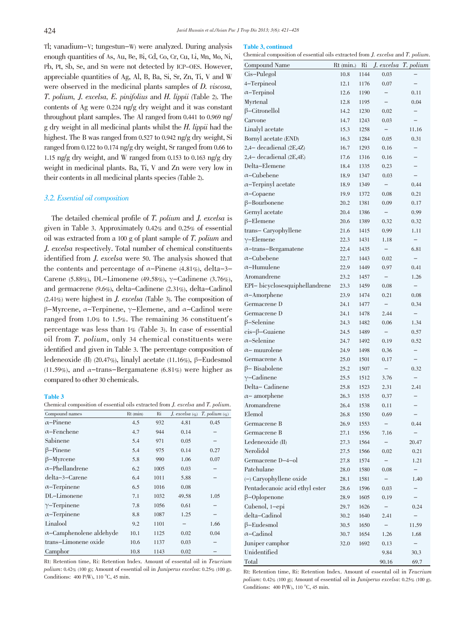Table 3, continued

Tl; vanadium-V; tungestun-W) were analyzed. During analysis enough quantities of As, Au, Be, Bi, Cd, Co, Cr, Cu, Li, Mn, Mo, Ni, Pb, Pt, Sb, Se, and Sn were not detected by ICP-OES. However, appreciable quantities of Ag, Al, B, Ba, Si, Sr, Zn, Ti, V and W were observed in the medicinal plants samples of D. viscosa, T. polium, J. excelsa, E. pinifolius and H. lippii (Table 2). The contents of Ag were 0.224 ng/g dry weight and it was constant throughout plant samples. The Al ranged from 0.441 to 0.969 ng/ g dry weight in all medicinal plants whilst the H. lippii had the highest. The B was ranged from 0.527 to 0.942 ng/g dry weight, Si ranged from 0.122 to 0.174 ng/g dry weight, Sr ranged from 0.66 to 1.15 ng/g dry weight, and W ranged from 0.153 to 0.163 ng/g dry weight in medicinal plants. Ba, Ti, V and Zn were very low in their contents in all medicinal plants species (Table 2).

## 3.2. Essential oil composition

The detailed chemical profile of T. polium and J. excelsa is given in Table 3. Approximately 0.42% and 0.25% of essential oil was extracted from a <sup>100</sup> g of plant sample of T. polium and J. excelsa respectively. Total number of chemical constituents identified from J. excelsa were 50. The analysis showed that the contents and percentage of  $\alpha$ -Pinene (4.81%), delta-3-Carene (5.88%), DL-Limonene (49.58%),  $\gamma$ -Cadinene (3.76%), and germacrene (9.6%), delta-Cadinene (2.31%), delta-Cadinol (2.41%) were highest in J. excelsa (Table 3). The composition of β-Myrcene, α-Terpinene, γ-Elemene, and α-Cadinol were ranged from 1.0% to 1.5%. The remaining <sup>36</sup> constituent's percentage was less than 1% (Table 3). In case of essential oil from T. polium, only <sup>34</sup> chemical constituents were identified and given in Table 3. The percentage composition of ledeneoxide (II) (20.47%), linalyl acetate (11.16%), β-Eudesmol (11.59%), and  $\alpha$ -trans-Bergamatene (6.81%) were higher as compared to other 30 chemicals.

#### Table 3

Chemical composition of essential oils extracted from J. excelsa and T. polium.

| Compound names                  | Rt (min) | Ri   | J. excelsa $(\%$ | $T.$ polium $(\%$ |
|---------------------------------|----------|------|------------------|-------------------|
| $\alpha$ -Pinene                | 4.5      | 932  | 4.81             | 0.45              |
| $\alpha$ -Fenchene              | 4.7      | 944  | 0.14             |                   |
| Sabinene                        | 5.4      | 971  | 0.05             |                   |
| $\beta$ -Pinene                 | 5.4      | 975  | 0.14             | 0.27              |
| $\beta$ -Myrcene                | 5.8      | 990  | 1.06             | 0.07              |
| $\alpha$ -Phellandrene          | 6.2      | 1005 | 0.03             |                   |
| delta-3-Carene                  | 6.4      | 1011 | 5.88             |                   |
| $\alpha$ -Terpinene             | 6.5      | 1016 | 0.08             |                   |
| DL-Limonene                     | 7.1      | 1032 | 49.58            | 1.05              |
| $\gamma$ -Terpinene             | 7.8      | 1056 | 0.61             |                   |
| $\alpha$ -Terpinene             | 8.8      | 1087 | 1.25             |                   |
| Linalool                        | 9.2      | 1101 |                  | 1.66              |
| $\alpha$ -Camphenolene aldehyde | 10.1     | 1125 | 0.02             | 0.04              |
| trans-Limonene oxide            | 10.6     | 1137 | 0.03             |                   |
| Camphor                         | 10.8     | 1143 | 0.02             |                   |

Rt: Retention time, Ri: Retention Index. Amount of essental oil in Teucrium polium: 0.42% (100 g); Amount of essential oil in Juniperus excelsa: 0.25% (100 g). Conditions: <sup>400</sup> P(W), <sup>110</sup> °C, <sup>45</sup> min.

| Chemical composition of essential oils extracted from J. excelsa and T. polium. |           |      |                          |                          |
|---------------------------------------------------------------------------------|-----------|------|--------------------------|--------------------------|
| Compound Name                                                                   | Rt (min.) | Ri   | J. excelsa               | T. polium                |
| Cis-Pulegol                                                                     | 10.8      | 1144 | 0.03                     |                          |
| 4-Terpineol                                                                     | 12.1      | 1176 | 0.07                     |                          |
| $\alpha$ -Terpinol                                                              | 12.6      | 1190 | $\qquad \qquad -$        | 0.11                     |
| Myrtenal                                                                        | 12.8      | 1195 | $\qquad \qquad -$        | 0.04                     |
| $\beta$ -Citronellol                                                            | 14.2      | 1230 | 0.02                     | $\overline{\phantom{0}}$ |
| Carvone                                                                         | 14.7      | 1243 | 0.03                     | $\overline{\phantom{0}}$ |
| Linalyl acetate                                                                 | 15.3      | 1258 | $\overline{\phantom{0}}$ | 11.16                    |
| Bornyl acetate (END)                                                            | 16.3      | 1284 | 0.05                     | 0.31                     |
| 2,4- decadienal (2E,4Z)                                                         | 16.7      | 1293 | 0.16                     |                          |
| $2,4$ decadienal $(2E,4E)$                                                      | 17.6      | 1316 | 0.16                     | $\overline{\phantom{0}}$ |
| Delta-Elemene                                                                   | 18.4      | 1335 | 0.23                     | -                        |
| $\alpha$ –Cubebene                                                              | 18.9      | 1347 | 0.03                     | -                        |
| $\alpha$ -Terpinyl acetate                                                      | 18.9      | 1349 | <sup>-</sup>             | 0.44                     |
| $\alpha$ -Copaene                                                               | 19.9      | 1372 | 0.08                     | 0.21                     |
| $\beta$ -Bourbonene                                                             | 20.2      | 1381 |                          | 0.17                     |
| Gernyl acetate                                                                  | 20.4      | 1386 | 0.09                     | 0.99                     |
|                                                                                 |           |      | $\overline{\phantom{0}}$ |                          |
| $\beta$ -Elemene                                                                | 20.6      | 1389 | 0.32                     | 0.32                     |
| trans-Caryophyllene                                                             | 21.6      | 1415 | 0.99                     | 1.11                     |
| $\gamma$ -Elemene                                                               | 22.3      | 1431 | 1.18                     | $\qquad \qquad -$        |
| $\alpha$ -trans-Bergamatene                                                     | 22.4      | 1435 | $\qquad \qquad -$        | 6.81                     |
| $\alpha$ –Cubebene                                                              | 22.7      | 1443 | 0.02                     | $\qquad \qquad -$        |
| $\alpha$ –Humulene                                                              | 22.9      | 1449 | 0.97                     | 0.41                     |
| Aromandrene                                                                     | 23.2      | 1457 | $\overline{\phantom{0}}$ | 1.26                     |
| EPI- bicyclosesquiphellandrene                                                  | 23.3      | 1459 | 0.08                     | $\overline{\phantom{0}}$ |
| $\alpha$ -Amorphene                                                             | 23.9      | 1474 | 0.21                     | 0.08                     |
| Germacrene D                                                                    | 24.1      | 1477 | $\overline{\phantom{0}}$ | 0.34                     |
| Germacrene D                                                                    | 24.1      | 1478 | 2.44                     | -                        |
| $\beta$ -Selenine                                                               | 24.3      | 1482 | 0.06                     | 1.34                     |
| $cis$ - $\beta$ -Guaiene                                                        | 24.5      | 1489 | $\overline{\phantom{0}}$ | 0.57                     |
| $\alpha$ -Selenine                                                              | 24.7      | 1492 | 0.19                     | 0.52                     |
| $\alpha$ – muurolene                                                            | 24.9      | 1498 | 0.36                     |                          |
| Germacrene A                                                                    | 25.0      | 1501 | 0.17                     |                          |
| $\beta$ – Bisabolene                                                            | 25.2      | 1507 | $\overline{\phantom{0}}$ | 0.32                     |
| $\gamma$ -Cadinene                                                              | 25.5      | 1512 | 3.76                     | $\overline{\phantom{0}}$ |
| Delta-Cadinene                                                                  | 25.8      | 1523 | 2.31                     | 2.41                     |
| $\alpha$ - amorphene                                                            | 26.3      | 1535 | 0.37                     | -                        |
| Aromandrene                                                                     | 26.4      | 1538 | 0.11                     |                          |
| Elemol                                                                          | 26.8      | 1550 | 0.69                     |                          |
| Germacrene B                                                                    | 26.9      | 1553 | <sup>-</sup>             | 0.44                     |
| Germacrene B                                                                    | 27.1      | 1556 | 7.16                     | -                        |
| Ledeneoxide (II)                                                                | 27.3      | 1564 | $\overline{\phantom{0}}$ | 20.47                    |
| Nerolidol                                                                       | 27.5      | 1566 | 0.02                     | 0.21                     |
| Germacrene D-4-ol                                                               | 27.8      | 1574 | $\overline{\phantom{0}}$ | 1.21                     |
| Patchulane                                                                      | 28.0      | 1580 | 0.08                     |                          |
| $(-)$ Caryophyllene oxide                                                       | 28.1      | 1581 |                          | 1.40                     |
| Pentadecanoic acid ethyl ester                                                  | 28.6      | 1596 | 0.03                     |                          |
| $\beta$ –Oplopenone                                                             | 28.9      | 1605 | 0.19                     |                          |
| Cubenol, 1-epi                                                                  | 29.7      | 1626 | $\qquad \qquad -$        | 0.24                     |
| delta-Cadinol                                                                   | 30.2      | 1640 | 2.41                     |                          |
| $\beta$ -Eudesmol                                                               |           |      |                          |                          |
| $\alpha$ –Cadinol                                                               | 30.5      | 1650 | $\qquad \qquad -$        | 11.59                    |
|                                                                                 | 30.7      | 1654 | 1.26                     | 1.68                     |
| Juniper camphor                                                                 | 32.0      | 1692 | 0.13                     |                          |
| Unidentified                                                                    |           |      | 9.84                     | 30.3                     |
| Total                                                                           |           |      | 90.16                    | 69.7                     |

Rt: Retention time, Ri: Retention Index. Amount of essental oil in Teucrium polium: 0.42% (100 g); Amount of essential oil in Juniperus excelsa: 0.25% (100 g). Conditions: <sup>400</sup> P(W), <sup>110</sup> °C, <sup>45</sup> min.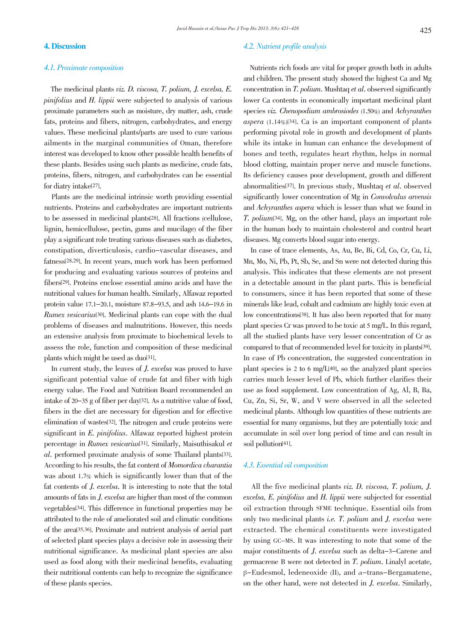# 4.1. Proximate composition

The medicinal plants viz. D. viscosa, T. polium, J. excelsa, E. pinifolius and H. lippii were subjected to analysis of various proximate parameters such as moisture, dry matter, ash, crude fats, proteins and fibers, nitrogen, carbohydrates, and energy values. These medicinal plants/parts are used to cure various ailments in the marginal communities of Oman, therefore interest was developed to know other possible health benefits of these plants. Besides using such plants as medicine, crude fats, proteins, fibers, nitrogen, and carbohydrates can be essential for diatry intake[27].

Plants are the medicinal intrinsic worth providing essential nutrients. Proteins and carbohydrates are important nutrients to be assessed in medicinal plants[28]. All fractions (cellulose, lignin, hemicellulose, pectin, gums and mucilage) of the fiber play a significant role treating various diseases such as diabetes, constipation, diverticulosis, cardio-vascular diseases, and fatness[28,29]. In recent years, much work has been performed for producing and evaluating various sources of proteins and fibers[29]. Proteins enclose essential amino acids and have the nutritional values for human health. Similarly, Alfawaz reported protein value 17.1-20.1, moisture 87.8-93.5, and ash 14.6-19.6 in Rumex vesicarius[30]. Medicinal plants can cope with the dual problems of diseases and malnutritions. However, this needs an extensive analysis from proximate to biochemical levels to assess the role, function and composition of these medicinal plants which might be used as duo[31].

In current study, the leaves of J. excelsa was proved to have significant potential value of crude fat and fiber with high energy value. The Food and Nutrition Board recommended an intake of 20-35 g of fiber per day[32]. As a nutritive value of food, fibers in the diet are necessary for digestion and for effective elimination of wastes[32]. The nitrogen and crude proteins were significant in E. pinifolius. Alfawaz reported highest protein percentage in Rumex vesicarius[31]. Similarly, Maisuthisakul et al. performed proximate analysis of some Thailand plants[33]. According to his results, the fat content of Momordica charantia was about 1.7% which is significantly lower than that of the fat contents of J. excelsa. It is interesting to note that the total amounts of fatsin J. excelsa are higher than most of the common vegetables[34]. This difference in functional properties may be attributed to the role of ameliorated soil and climatic conditions of the area[35,36]. Proximate and nutrient analysis of aerial part of selected plant species plays a decisive role in assessing their nutritional significance. As medicinal plant species are also used as food along with their medicinal benefits, evaluating their nutritional contents can help to recognize the significance of these plants species.

# 4.2. Nutrient profile analysis

Nutrients rich foods are vital for proper growth both in adults and children. The present study showed the highest Ca and Mg concentration in T. polium. Mushtaq et al. observed significantly lower Ca contents in economically important medicinal plant species viz. Chenopodium ambrosiodes (1.50%) and Achyranthes aspera  $(1.14\%)$ [34]. Ca is an important component of plants performing pivotal role in growth and development of plants while its intake in human can enhance the development of bones and teeth, regulates heart rhythm, helps in normal blood clotting, maintain proper nerve and muscle functions. Its deficiency causes poor development, growth and different abnormalities[37]. In previous study, Mushtaq et al. observed significantly lower concentration of Mg in Convolvulus arvensis and Achyranthes aspera which is lesser than what we found in T. polium[34]. Mg, on the other hand, plays an important role in the human body to maintain cholesterol and control heart diseases. Mg converts blood sugar into energy.

In case of trace elements, As, Au, Be, Bi, Cd, Co, Cr, Cu, Li, Mn, Mo, Ni, Pb, Pt, Sb, Se, and Sn were not detected during this analysis. This indicates that these elements are not present in a detectable amount in the plant parts. This is beneficial to consumers, since it has been reported that some of these minerals like lead, cobalt and cadmium are highly toxic even at low concentrations[38]. It has also been reported that for many plant species Cr was proved to be toxic at 5 mg/L. In this regard, all the studied plants have very lesser concentration of Cr as compared to that of recommended level for toxicity in plants[39]. In case of Pb concentration, the suggested concentration in plant species is 2 to 6 mg/L[40], so the analyzed plant species carries much lesser level of Pb, which further clarifies their use as food supplement. Low concentration of Ag, Al, B, Ba, Cu, Zn, Si, Sr, W, and V were observed in all the selected medicinal plants. Although low quantities of these nutrients are essential for many organisms, but they are potentially toxic and accumulate in soil over long period of time and can result in soil pollution[41].

# 4.3. Essential oil composition

All the five medicinal plants viz. D. viscosa, T. polium, J. excelsa, E. pinifolius and H. lippii were subjected for essential oil extraction through SFME technique. Essential oils from only two medicinal plants i.e. T. polium and J. excelsa were extracted. The chemical constituents were investigated by using GC-MS. It was interesting to note that some of the major constituents of J. excelsa such as delta-3-Carene and germacrene B were not detected in T. polium. Linalyl acetate, β-Eudesmol, ledeneoxide (II), and α-trans-Bergamatene, on the other hand, were not detected in J. excelsa. Similarly,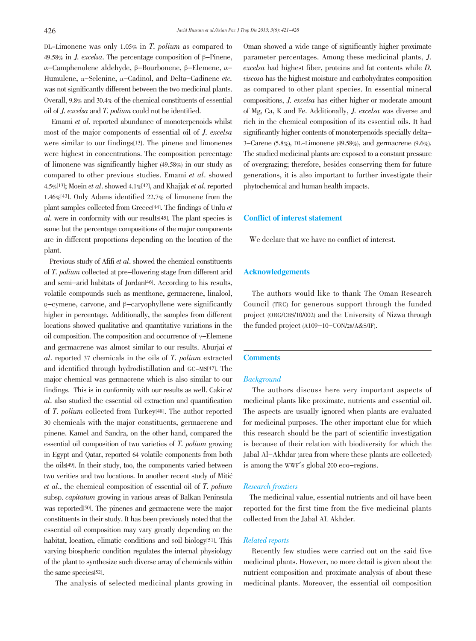DL-Limonene was only 1.05% in T. polium as compared to 49.58% in *J. excelsa*. The percentage composition of  $\beta$ -Pinene, α-Camphenolene aldehyde, β-Bourbonene, β-Elemene, α-Humulene, <sup>α</sup>-Selenine, <sup>α</sup>-Cadinol, and Delta-Cadinene etc. was not significantly different between the two medicinal plants. Overall, 9.8% and 30.4% of the chemical constituents of essential oil of J. excelsa and T. polium could not be identified.

Emami et al. reported abundance of monoterpenoids whilst most of the major components of essential oil of J. excelsa were similar to our findings[13]. The pinene and limonenes were highest in concentrations. The composition percentage of limonene was significantly higher (49.58%) in our study as compared to other previous studies. Emami et al. showed 4.5%[13]; Moein et al. showed 4.1%[42], and Khajjak et al. reported 1.46%[43]. Only Adams identified 22.7% of limonene from the plant samples collected from Greece[44]. The findings of Unlu et al. were in conformity with our results[45]. The plant species is same but the percentage compositions of the major components are in different proportions depending on the location of the plant.

Previous study of Afifi et al. showed the chemical constituents of T. polium collected at pre-flowering stage from different arid and semi-arid habitats of Jordan[46]. According to his results, volatile compounds such as menthone, germacrene, linalool, ρ-cymene, carvone, and β-caryophyllene were significantly higher in percentage. Additionally, the samples from different locations showed qualitative and quantitative variations in the oil composition. The composition and occurrence of  $\gamma$ -Elemene and germacrene was almost similar to our results. Aburjai et al. reported <sup>37</sup> chemicals in the oils of T. polium extracted and identified through hydrodistillation and GC-MS[47]. The major chemical was germacrene which is also similar to our findings. This is in conformity with our results as well. Cakir et al. also studied the essential oil extraction and quantification of T. polium collected from Turkey[48]. The author reported 30 chemicals with the major constituents, germacrene and pinene. Kamel and Sandra, on the other hand, compared the essential oil composition of two varieties of T. polium growing in Egypt and Qatar, reported 64 volatile components from both the oils[49]. In their study, too, the components varied between two verities and two locations. In another recent study of Mitić et al., the chemical composition of essential oil of T. polium subsp. capitatum growing in various areas of Balkan Peninsula was reported<sup>[50]</sup>. The pinenes and germacrene were the major constituents in their study. It has been previously noted that the essential oil composition may vary greatly depending on the habitat, location, climatic conditions and soil biology<sup>[51]</sup>. This varying biospheric condition regulates the internal physiology of the plant to synthesize such diverse array of chemicals within the same species[52].

The analysis of selected medicinal plants growing in

Oman showed a wide range of significantly higher proximate parameter percentages. Among these medicinal plants, J. excelsa had highest fiber, proteins and fat contents while D. viscosa has the highest moisture and carbohydrates composition as compared to other plant species. In essential mineral compositions, J. excelsa has either higher or moderate amount of Mg, Ca, K and Fe. Additionally, J. excelsa was diverse and rich in the chemical composition of its essential oils. It had significantly higher contents of monoterpenoids specially delta-3-Carene (5.8%), DL-Limonene (49.58%), and germacrene (9.6%). The studied medicinal plants are exposed to a constant pressure of overgrazing; therefore, besides conserving them for future generations, it is also important to further investigate their phytochemical and human health impacts.

# Conflict of interest statement

We declare that we have no conflict of interest.

## Acknowledgements

The authors would like to thank The Oman Research Council (TRC) for generous support through the funded project (ORG/CBS/10/002) and the University of Nizwa through the funded project (A109-10-UON/28/A&S/IF).

# **Comments**

# **Background**

The authors discuss here very important aspects of medicinal plants like proximate, nutrients and essential oil. The aspects are usually ignored when plants are evaluated for medicinal purposes. The other important clue for which this research should be the part of scientific investigation is because of their relation with biodiversity for which the Jabal Al-Akhdar (area from where these plants are collected) is among the WWF's global <sup>200</sup> eco-regions.

#### Research frontiers

The medicinal value, essential nutrients and oil have been reported for the first time from the five medicinal plants collected from the Jabal AL Akhder.

#### Related reports

Recently few studies were carried out on the said five medicinal plants. However, no more detail is given about the nutrient composition and proximate analysis of about these medicinal plants. Moreover, the essential oil composition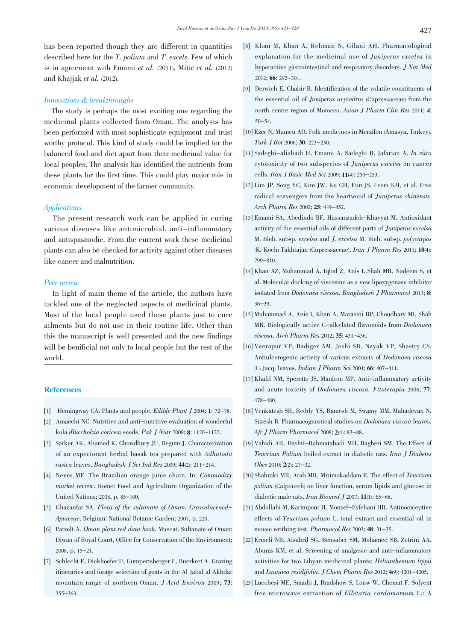has been reported though they are different in quantities described here for the T. polium and T. excels. Few of which is in agreement with Emami et al. (2011), Mitić et al. (2012) and Khajjak et al. (2012).

## Innovations & breakthroughs

The study is perhaps the most exciting one regarding the medicinal plants collected from Oman. The analysis has been performed with most sophisticate equipment and trust worthy protocol. This kind of study could be implied for the balanced food and diet apart from their medicinal value for local peoples. The analysis has identified the nutrients from these plants for the first time. This could play major role in economic development of the farmer community.

#### Applications

The present research work can be applied in curing various diseases like antimicrobial, anti-inflammatory and antispasmodic. From the current work these medicinal plants can also be checked for activity against other diseases like cancer and malnutrition.

#### Peer review

In light of main theme of the article, the authors have tackled one of the neglected aspects of medicinal plants. Most of the local people used these plants just to cure ailments but do not use in their routine life. Other than this the manuscript is well presented and the new findings will be benificial not only to local people but the rest of the world.

## **References**

- [1] Hemingway CA. Plants and people. Edible Plant J 2004; 1: 72-78.
- [2] Amaechi NC. Nutritive and anti-nutritive evaluation of wonderful kola (Buccholzia coricea) seeds. Pak J Nutr 2009; 8: 1120-1122.
- [3] Sarker AK, Ahamed K, Chowdhury JU, Begum J. Characterization of an expectorant herbal basak tea prepared with Adhatoda vasica leaves. Bangladesh J Sci Ind Res 2009; 44(2): 211-214.
- [4] Neves MF. The Brazilian orange juice chain. In: Commodity market review. Rome: Food and Agriculture Organization of the United Nations; 2008, p. 85-100.
- [5] Ghazanfar SA. Flora of the sultanate of Oman: Crassulaceaed-Apiaceae. Belgium: National Botanic Garden; 2007, p. 220.
- [6] Patzelt A. Oman plant red data book. Muscat, Sultanate of Oman: Diwan of Royal Court, Office for Conservation of the Environment; 2008, p. 15-21.
- [7] Schlecht E, Dickhoefer U, Gumpertsberger E, Buerkert A. Grazing itineraries and forage selection of goats in the Al Jabal al Akhdar mountain range of northern Oman. J Arid Environ 2009; 73: 355-363.
- [8] Khan M, Khan A, Rehman N, Gilani AH. Pharmacological explanation for the medicinal use of Juniperus excelsa in hyperactive gastrointestinal and respiratory disorders. J Nat Med 2012; 66: 292-301.
- [9] Derwich E, Chabir R. Identification of the volatile constituents of the essential oil of Juniperus oxycedrus (Cupressaceae) from the north centre region of Morocco. Asian J Pharm Clin Res 2011; 4: 50-54.
- [10] Ezer N, Mumcu AO. Folk medicines in Merzifon (Amasya, Turkey). Turk J Bot 2006; 30: 223-230.
- [11] Sadeghi-aliabadi H, Emami A, Sadeghi B, Jafarian A. In vitro cytotoxicity of two subspecies of Juniperus excelsa on cancer cells. Iran J Basic Med Sci 2009; 11(4): 250-253.
- [12] Lim JP, Song YC, Kim JW, Ku CH, Eun JS, Leem KH, et al. Free radical scavengers from the heartwood of Juniperus chinensis. Arch Pharm Res 2002; 25: 449-452.
- [13] Emami SA, Abedindo BF, Hassanzadeh-Khayyat M. Antioxidant activity of the essential oils of different parts of Juniperus excelsa M. Bieb. subsp. excelsa and J. excelsa M. Bieb. subsp. polycarpos (K. Koch) Takhtajan (Cupressaceae). Iran J Pharm Res 2011; 10(4): 799-810.
- [14] Khan AZ, Mohammad A, Iqbal Z, Anis I, Shah MR, Nadeem S, et al. Molecular docking of viscosine as a new lipoxygenase inhibitor isolated from Dodonaea viscosa. Bangladesh J Pharmacol 2013; 8: 36-39.
- [15] Muhammad A, Anis I, Khan A, Marasini BP, Choudhary MI, Shah MR. Biologically active C-alkylated flavonoids from Dodonaea viscosa. Arch Pharm Res 2012; 35: 431-436.
- [16] Veerapur VP, Badiger AM, Joshi SD, Nayak VP, Shastry CS. Antiulcerogenic activity of various extracts of Dodonaea viscosa (L) Jacq. leaves. Indian J Pharm Sci 2004; 66: 407-411.
- [17] Khalil NM, Sperotto JS, Manfron MP. Anti-inflammatory activity and acute toxicity of Dodonaea viscosa. Fitoterapia 2006; 77: 478-480.
- [18] Venkatesh SR, Reddy YS, Ramesh M, Swamy MM, Mahadevan N, Suresh B. Pharmacognostical studies on Dodonaea viscosa leaves. Afr J Pharm Pharmacol 2008; 2(4): 83-88.
- [19] Vahidi AR, Dashti-Rahmatabadi MH, Bagheri SM. The Effect of Teucrium Polium boiled extract in diabetic rats. Iran J Diabetes Obes 2010; 2(2): 27-32.
- [20] Shahraki MR, Arab MR, Mirimokaddam E. The effect of Teucrium polium (Calpoureh) on liver function, serum lipids and glucose in diabetic male rats. Iran Biomed J 2007; 11(1): 65-68.
- [21] Abdollahi M, Karimpour H, Monsef-Esfehani HR. Antinociceptive effects of Teucrium polium L. total extract and essential oil in mouse writhing test. Pharmacol Res 2003; 48: 31-35.
- [22] Ermeli NB, Alsabril SG, Bensaber SM, Mohamed SB, Zetrini AA, Aburas KM, et al. Screening of analgesic and anti-inflammatory activities for two Libyan medicinal plants: Helianthemum lippii and Launaea residifolia. J Chem Pharm Res 2012; 4(9): 4201-4205.
- [23] Lucchesi ME, Smadji J, Bradshow S, Louw W, Chemat F. Solvent free microwave extraction of Elletaria cardamomum L.: A